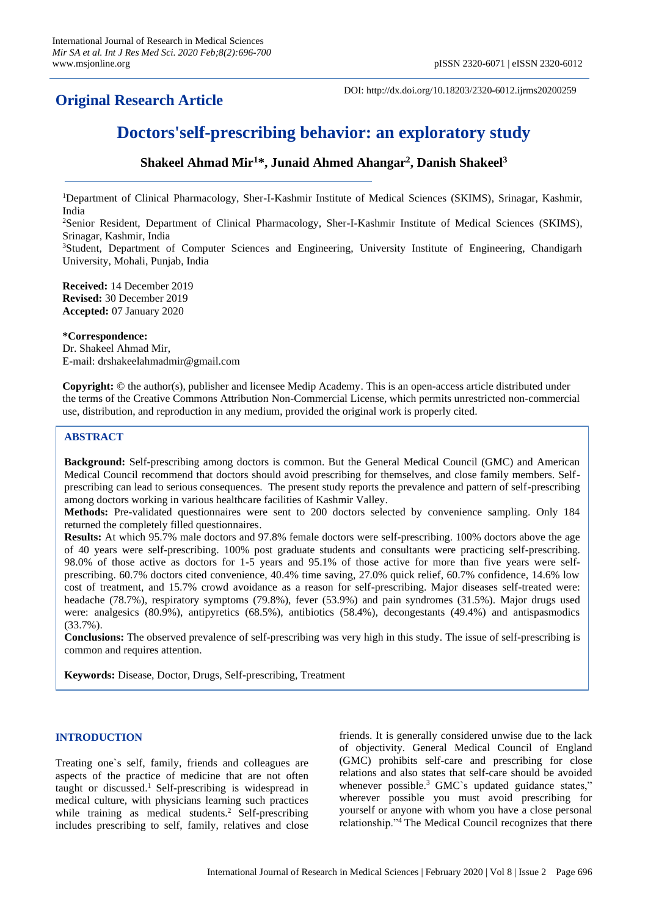## **Original Research Article**

DOI: http://dx.doi.org/10.18203/2320-6012.ijrms20200259

# **Doctors'self-prescribing behavior: an exploratory study**

### **Shakeel Ahmad Mir<sup>1</sup>\*, Junaid Ahmed Ahangar<sup>2</sup> , Danish Shakeel<sup>3</sup>**

<sup>1</sup>Department of Clinical Pharmacology, Sher-I-Kashmir Institute of Medical Sciences (SKIMS), Srinagar, Kashmir, India

<sup>2</sup>Senior Resident, Department of Clinical Pharmacology, Sher-I-Kashmir Institute of Medical Sciences (SKIMS), Srinagar, Kashmir, India

<sup>3</sup>Student, Department of Computer Sciences and Engineering, University Institute of Engineering, Chandigarh University, Mohali, Punjab, India

**Received:** 14 December 2019 **Revised:** 30 December 2019 **Accepted:** 07 January 2020

#### **\*Correspondence:**

Dr. Shakeel Ahmad Mir, E-mail: drshakeelahmadmir@gmail.com

**Copyright:** © the author(s), publisher and licensee Medip Academy. This is an open-access article distributed under the terms of the Creative Commons Attribution Non-Commercial License, which permits unrestricted non-commercial use, distribution, and reproduction in any medium, provided the original work is properly cited.

#### **ABSTRACT**

**Background:** Self-prescribing among doctors is common. But the General Medical Council (GMC) and American Medical Council recommend that doctors should avoid prescribing for themselves, and close family members. Selfprescribing can lead to serious consequences. The present study reports the prevalence and pattern of self-prescribing among doctors working in various healthcare facilities of Kashmir Valley.

**Methods:** Pre-validated questionnaires were sent to 200 doctors selected by convenience sampling. Only 184 returned the completely filled questionnaires.

**Results:** At which 95.7% male doctors and 97.8% female doctors were self-prescribing. 100% doctors above the age of 40 years were self-prescribing. 100% post graduate students and consultants were practicing self-prescribing. 98.0% of those active as doctors for 1-5 years and 95.1% of those active for more than five years were selfprescribing. 60.7% doctors cited convenience, 40.4% time saving, 27.0% quick relief, 60.7% confidence, 14.6% low cost of treatment, and 15.7% crowd avoidance as a reason for self-prescribing. Major diseases self-treated were: headache (78.7%), respiratory symptoms (79.8%), fever (53.9%) and pain syndromes (31.5%). Major drugs used were: analgesics (80.9%), antipyretics (68.5%), antibiotics (58.4%), decongestants (49.4%) and antispasmodics (33.7%).

**Conclusions:** The observed prevalence of self-prescribing was very high in this study. The issue of self-prescribing is common and requires attention.

**Keywords:** Disease, Doctor, Drugs, Self-prescribing, Treatment

#### **INTRODUCTION**

Treating one`s self, family, friends and colleagues are aspects of the practice of medicine that are not often taught or discussed.<sup>1</sup> Self-prescribing is widespread in medical culture, with physicians learning such practices while training as medical students.<sup>2</sup> Self-prescribing includes prescribing to self, family, relatives and close friends. It is generally considered unwise due to the lack of objectivity. General Medical Council of England (GMC) prohibits self-care and prescribing for close relations and also states that self-care should be avoided whenever possible.<sup>3</sup> GMC`s updated guidance states," wherever possible you must avoid prescribing for yourself or anyone with whom you have a close personal relationship."<sup>4</sup> The Medical Council recognizes that there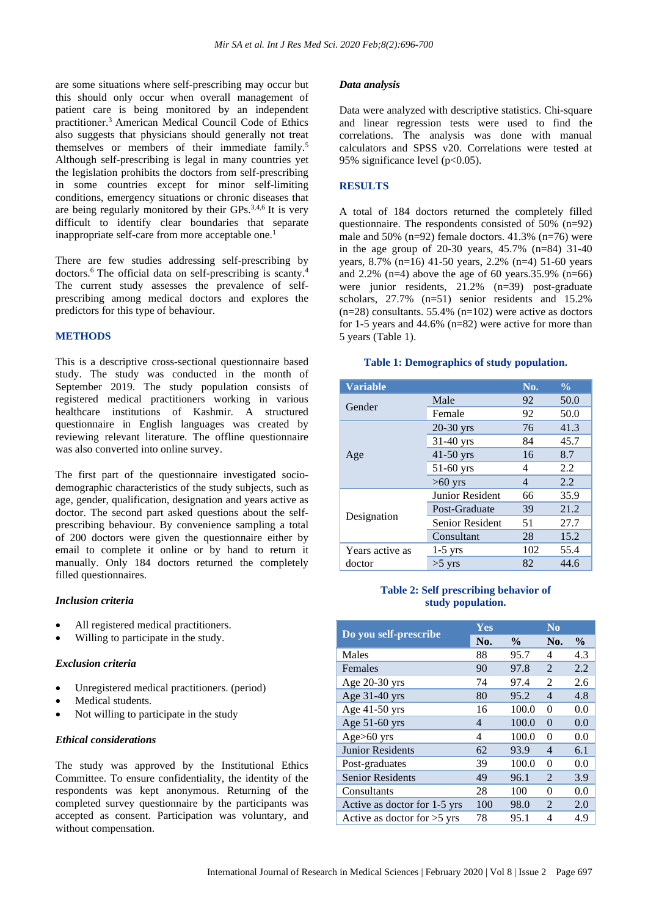are some situations where self-prescribing may occur but this should only occur when overall management of patient care is being monitored by an independent practitioner.<sup>3</sup> American Medical Council Code of Ethics also suggests that physicians should generally not treat themselves or members of their immediate family.<sup>5</sup> Although self-prescribing is legal in many countries yet the legislation prohibits the doctors from self-prescribing in some countries except for minor self-limiting conditions, emergency situations or chronic diseases that are being regularly monitored by their GPs.<sup>3,4,6</sup> It is very difficult to identify clear boundaries that separate inappropriate self-care from more acceptable one.<sup>1</sup>

There are few studies addressing self-prescribing by doctors.<sup>6</sup> The official data on self-prescribing is scanty.<sup>4</sup> The current study assesses the prevalence of selfprescribing among medical doctors and explores the predictors for this type of behaviour.

#### **METHODS**

This is a descriptive cross-sectional questionnaire based study. The study was conducted in the month of September 2019. The study population consists of registered medical practitioners working in various healthcare institutions of Kashmir. A structured questionnaire in English languages was created by reviewing relevant literature. The offline questionnaire was also converted into online survey.

The first part of the questionnaire investigated sociodemographic characteristics of the study subjects, such as age, gender, qualification, designation and years active as doctor. The second part asked questions about the selfprescribing behaviour. By convenience sampling a total of 200 doctors were given the questionnaire either by email to complete it online or by hand to return it manually. Only 184 doctors returned the completely filled questionnaires.

#### *Inclusion criteria*

- All registered medical practitioners.
- Willing to participate in the study.

#### *Exclusion criteria*

- Unregistered medical practitioners. (period)
- Medical students.
- Not willing to participate in the study

#### *Ethical considerations*

The study was approved by the Institutional Ethics Committee. To ensure confidentiality, the identity of the respondents was kept anonymous. Returning of the completed survey questionnaire by the participants was accepted as consent. Participation was voluntary, and without compensation.

#### *Data analysis*

Data were analyzed with descriptive statistics. Chi-square and linear regression tests were used to find the correlations. The analysis was done with manual calculators and SPSS v20. Correlations were tested at 95% significance level (p<0.05).

#### **RESULTS**

A total of 184 doctors returned the completely filled questionnaire. The respondents consisted of 50% (n=92) male and 50% (n=92) female doctors. 41.3% (n=76) were in the age group of 20-30 years, 45.7% (n=84) 31-40 years, 8.7% (n=16) 41-50 years, 2.2% (n=4) 51-60 years and 2.2% (n=4) above the age of 60 years.35.9% (n=66) were junior residents, 21.2% (n=39) post-graduate scholars, 27.7% (n=51) senior residents and 15.2%  $(n=28)$  consultants. 55.4%  $(n=102)$  were active as doctors for 1-5 years and 44.6% (n=82) were active for more than 5 years (Table 1).

#### **Table 1: Demographics of study population.**

| <b>Variable</b> |                        | No. | $\frac{0}{0}$ |
|-----------------|------------------------|-----|---------------|
| Gender          | Male                   | 92  | 50.0          |
|                 | Female                 | 92  | 50.0          |
|                 | 20-30 yrs              | 76  | 41.3          |
|                 | $31-40$ yrs            | 84  | 45.7          |
| Age             | $41-50$ yrs            | 16  | 8.7           |
|                 | 51-60 yrs              | 4   | 2.2           |
|                 | $>60$ yrs              | 4   | 2.2           |
| Designation     | <b>Junior Resident</b> | 66  | 35.9          |
|                 | Post-Graduate          | 39  | 21.2          |
|                 | <b>Senior Resident</b> | 51  | 27.7          |
|                 | Consultant             | 28  | 15.2          |
| Years active as | $1-5$ yrs              | 102 | 55.4          |
| doctor          | $>5$ yrs               | 82  | 44.6          |

#### **Table 2: Self prescribing behavior of study population.**

|                               | Yes |                    | $\bf No$                    |               |
|-------------------------------|-----|--------------------|-----------------------------|---------------|
| Do you self-prescribe         | No. | $\frac{0}{\alpha}$ | No.                         | $\frac{0}{0}$ |
| Males                         | 88  | 95.7               | 4                           | 4.3           |
| Females                       | 90  | 97.8               | $\mathcal{D}_{\mathcal{L}}$ | 2.2           |
| Age $20-30$ yrs               | 74  | 97.4               | $\mathfrak{D}$              | 2.6           |
| Age 31-40 yrs                 | 80  | 95.2               | $\overline{4}$              | 4.8           |
| Age 41-50 yrs                 | 16  | 100.0              | $\Omega$                    | 0.0           |
| Age 51-60 yrs                 | 4   | 100.0              | $\Omega$                    | 0.0           |
| $Age>60$ yrs                  | 4   | 100.0              | $\Omega$                    | 0.0           |
| <b>Junior Residents</b>       | 62  | 93.9               | $\overline{4}$              | 6.1           |
| Post-graduates                | 39  | 100.0              | $\Omega$                    | 0.0           |
| <b>Senior Residents</b>       | 49  | 96.1               | $\mathcal{D}_{\mathcal{L}}$ | 3.9           |
| Consultants                   | 28  | 100                | 0                           | 0.0           |
| Active as doctor for 1-5 yrs  | 100 | 98.0               | $\mathcal{D}_{\mathcal{L}}$ | 2.0           |
| Active as doctor for $>5$ yrs | 78  | 95.1               | 4                           | 4.9           |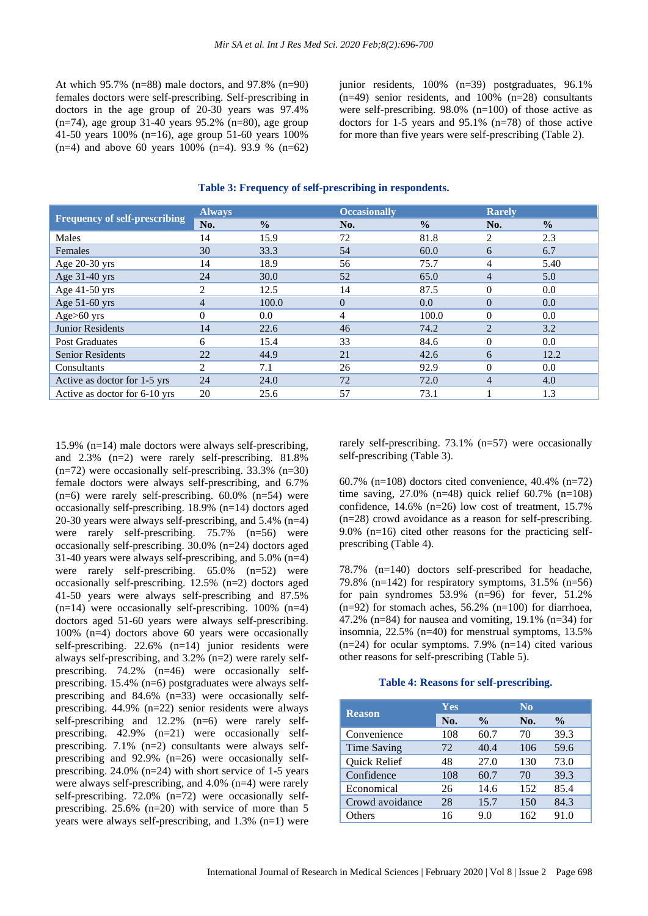At which  $95.7\%$  (n=88) male doctors, and  $97.8\%$  (n=90) females doctors were self-prescribing. Self-prescribing in doctors in the age group of 20-30 years was 97.4%  $(n=74)$ , age group 31-40 years 95.2%  $(n=80)$ , age group 41-50 years 100% (n=16), age group 51-60 years 100%  $(n=4)$  and above 60 years 100%  $(n=4)$ . 93.9 %  $(n=62)$  junior residents, 100% (n=39) postgraduates, 96.1% (n=49) senior residents, and 100% (n=28) consultants were self-prescribing. 98.0% (n=100) of those active as doctors for 1-5 years and 95.1% (n=78) of those active for more than five years were self-prescribing (Table 2).

| <b>Frequency of self-prescribing</b> | <b>Always</b>  |               | <b>Occasionally</b> |               | <b>Rarely</b>  |               |
|--------------------------------------|----------------|---------------|---------------------|---------------|----------------|---------------|
|                                      | No.            | $\frac{0}{0}$ | No.                 | $\frac{0}{0}$ | No.            | $\frac{0}{0}$ |
| Males                                | 14             | 15.9          | 72                  | 81.8          | 2              | 2.3           |
| Females                              | 30             | 33.3          | 54                  | 60.0          | 6              | 6.7           |
| Age 20-30 yrs                        | 14             | 18.9          | 56                  | 75.7          | 4              | 5.40          |
| Age 31-40 yrs                        | 24             | 30.0          | 52                  | 65.0          | $\overline{4}$ | 5.0           |
| Age 41-50 yrs                        | $\overline{2}$ | 12.5          | 14                  | 87.5          | $\Omega$       | 0.0           |
| Age 51-60 yrs                        | $\overline{4}$ | 100.0         | $\theta$            | 0.0           | $\overline{0}$ | 0.0           |
| Age $>60$ yrs                        | $\Omega$       | $0.0\,$       | 4                   | 100.0         | $\Omega$       | 0.0           |
| Junior Residents                     | 14             | 22.6          | 46                  | 74.2          | $\overline{2}$ | 3.2           |
| <b>Post Graduates</b>                | 6              | 15.4          | 33                  | 84.6          | $\Omega$       | 0.0           |
| <b>Senior Residents</b>              | 22             | 44.9          | 21                  | 42.6          | 6              | 12.2          |
| Consultants                          | 2              | 7.1           | 26                  | 92.9          | $\Omega$       | 0.0           |
| Active as doctor for 1-5 yrs         | 24             | 24.0          | 72                  | 72.0          | $\overline{4}$ | 4.0           |
| Active as doctor for 6-10 yrs        | 20             | 25.6          | 57                  | 73.1          |                | 1.3           |

#### **Table 3: Frequency of self-prescribing in respondents.**

15.9% (n=14) male doctors were always self-prescribing, and 2.3% (n=2) were rarely self-prescribing. 81.8%  $(n=72)$  were occasionally self-prescribing. 33.3%  $(n=30)$ female doctors were always self-prescribing, and 6.7%  $(n=6)$  were rarely self-prescribing.  $60.0\%$   $(n=54)$  were occasionally self-prescribing. 18.9% (n=14) doctors aged 20-30 years were always self-prescribing, and 5.4% (n=4) were rarely self-prescribing. 75.7% (n=56) were occasionally self-prescribing. 30.0% (n=24) doctors aged 31-40 years were always self-prescribing, and 5.0% (n=4) were rarely self-prescribing. 65.0% (n=52) were occasionally self-prescribing. 12.5% (n=2) doctors aged 41-50 years were always self-prescribing and 87.5%  $(n=14)$  were occasionally self-prescribing. 100%  $(n=4)$ doctors aged 51-60 years were always self-prescribing. 100% (n=4) doctors above 60 years were occasionally self-prescribing. 22.6% (n=14) junior residents were always self-prescribing, and 3.2% (n=2) were rarely selfprescribing. 74.2% (n=46) were occasionally selfprescribing. 15.4% (n=6) postgraduates were always selfprescribing and 84.6% (n=33) were occasionally selfprescribing. 44.9% (n=22) senior residents were always self-prescribing and 12.2% (n=6) were rarely selfprescribing. 42.9% (n=21) were occasionally selfprescribing. 7.1% (n=2) consultants were always selfprescribing and 92.9% (n=26) were occasionally selfprescribing. 24.0% (n=24) with short service of 1-5 years were always self-prescribing, and 4.0% (n=4) were rarely self-prescribing. 72.0% (n=72) were occasionally selfprescribing. 25.6% (n=20) with service of more than 5 years were always self-prescribing, and  $1.3\%$  (n=1) were rarely self-prescribing. 73.1% (n=57) were occasionally self-prescribing (Table 3).

60.7% (n=108) doctors cited convenience, 40.4% (n=72) time saving, 27.0% (n=48) quick relief 60.7% (n=108) confidence, 14.6% (n=26) low cost of treatment, 15.7% (n=28) crowd avoidance as a reason for self-prescribing. 9.0% (n=16) cited other reasons for the practicing selfprescribing (Table 4).

78.7% (n=140) doctors self-prescribed for headache, 79.8% (n=142) for respiratory symptoms,  $31.5\%$  (n=56) for pain syndromes 53.9% (n=96) for fever, 51.2%  $(n=92)$  for stomach aches, 56.2%  $(n=100)$  for diarrhoea, 47.2% (n=84) for nausea and vomiting, 19.1% (n=34) for insomnia, 22.5% (n=40) for menstrual symptoms, 13.5%  $(n=24)$  for ocular symptoms. 7.9%  $(n=14)$  cited various other reasons for self-prescribing (Table 5).

#### **Table 4: Reasons for self-prescribing.**

| <b>Reason</b>   | Yes |               | $\bf No$ |               |  |  |
|-----------------|-----|---------------|----------|---------------|--|--|
|                 | No. | $\frac{0}{0}$ | No.      | $\frac{0}{0}$ |  |  |
| Convenience     | 108 | 60.7          | 70       | 39.3          |  |  |
| Time Saving     | 72  | 40.4          | 106      | 59.6          |  |  |
| Quick Relief    | 48  | 27.0          | 130      | 73.0          |  |  |
| Confidence      | 108 | 60.7          | 70       | 39.3          |  |  |
| Economical      | 26  | 14.6          | 152      | 85.4          |  |  |
| Crowd avoidance | 28  | 15.7          | 150      | 84.3          |  |  |
| Others          | 16  | 9.0           | 162      | 91.0          |  |  |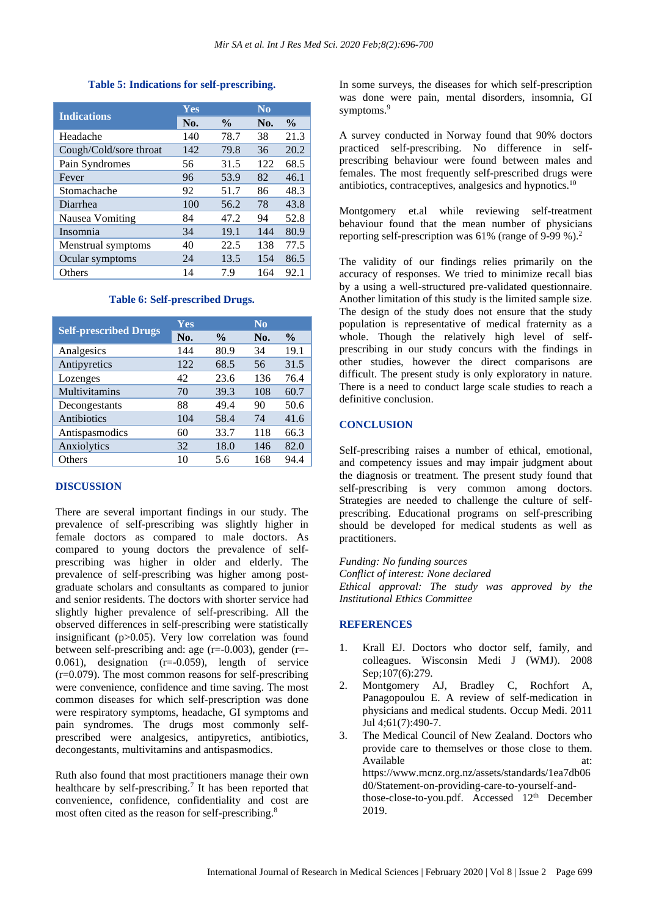#### **Table 5: Indications for self-prescribing.**

|                        | Yes |               | $\overline{\text{No}}$ |               |
|------------------------|-----|---------------|------------------------|---------------|
| <b>Indications</b>     | No. | $\frac{0}{0}$ | No.                    | $\frac{6}{9}$ |
| Headache               | 140 | 78.7          | 38                     | 21.3          |
| Cough/Cold/sore throat | 142 | 79.8          | 36                     | 20.2          |
| Pain Syndromes         | 56  | 31.5          | 122                    | 68.5          |
| Fever                  | 96  | 53.9          | 82                     | 46.1          |
| Stomachache            | 92  | 51.7          | 86                     | 48.3          |
| Diarrhea               | 100 | 56.2          | 78                     | 43.8          |
| Nausea Vomiting        | 84  | 47.2          | 94                     | 52.8          |
| Insomnia               | 34  | 19.1          | 144                    | 80.9          |
| Menstrual symptoms     | 40  | 22.5          | 138                    | 77.5          |
| Ocular symptoms        | 24  | 13.5          | 154                    | 86.5          |
| Others                 | 14  | 7.9           | 164                    | 92.1          |

#### **Table 6: Self-prescribed Drugs.**

|                              | Yes |               | $\bf No$ |               |  |  |
|------------------------------|-----|---------------|----------|---------------|--|--|
| <b>Self-prescribed Drugs</b> | No. | $\frac{0}{0}$ | No.      | $\frac{0}{0}$ |  |  |
| Analgesics                   | 144 | 80.9          | 34       | 19.1          |  |  |
| Antipyretics                 | 122 | 68.5          | 56       | 31.5          |  |  |
| Lozenges                     | 42  | 23.6          | 136      | 76.4          |  |  |
| Multivitamins                | 70  | 39.3          | 108      | 60.7          |  |  |
| Decongestants                | 88  | 49.4          | 90       | 50.6          |  |  |
| Antibiotics                  | 104 | 58.4          | 74       | 41.6          |  |  |
| Antispasmodics               | 60  | 33.7          | 118      | 66.3          |  |  |
| Anxiolytics                  | 32  | 18.0          | 146      | 82.0          |  |  |
| Others                       | 10  | 5.6           | 168      | 94.4          |  |  |

#### **DISCUSSION**

There are several important findings in our study. The prevalence of self-prescribing was slightly higher in female doctors as compared to male doctors. As compared to young doctors the prevalence of selfprescribing was higher in older and elderly. The prevalence of self-prescribing was higher among postgraduate scholars and consultants as compared to junior and senior residents. The doctors with shorter service had slightly higher prevalence of self-prescribing. All the observed differences in self-prescribing were statistically insignificant (p>0.05). Very low correlation was found between self-prescribing and: age  $(r=-0.003)$ , gender  $(r=-)$ 0.061), designation  $(r=-0.059)$ , length of service  $(r=0.079)$ . The most common reasons for self-prescribing were convenience, confidence and time saving. The most common diseases for which self-prescription was done were respiratory symptoms, headache, GI symptoms and pain syndromes. The drugs most commonly selfprescribed were analgesics, antipyretics, antibiotics, decongestants, multivitamins and antispasmodics.

Ruth also found that most practitioners manage their own healthcare by self-prescribing.<sup>7</sup> It has been reported that convenience, confidence, confidentiality and cost are most often cited as the reason for self-prescribing.<sup>8</sup>

In some surveys, the diseases for which self-prescription was done were pain, mental disorders, insomnia, GI symptoms.<sup>9</sup>

A survey conducted in Norway found that 90% doctors practiced self-prescribing. No difference in selfprescribing behaviour were found between males and females. The most frequently self-prescribed drugs were antibiotics, contraceptives, analgesics and hypnotics.<sup>10</sup>

Montgomery et.al while reviewing self-treatment behaviour found that the mean number of physicians reporting self-prescription was 61% (range of 9-99 %). 2

The validity of our findings relies primarily on the accuracy of responses. We tried to minimize recall bias by a using a well-structured pre-validated questionnaire. Another limitation of this study is the limited sample size. The design of the study does not ensure that the study population is representative of medical fraternity as a whole. Though the relatively high level of selfprescribing in our study concurs with the findings in other studies, however the direct comparisons are difficult. The present study is only exploratory in nature. There is a need to conduct large scale studies to reach a definitive conclusion.

#### **CONCLUSION**

Self-prescribing raises a number of ethical, emotional, and competency issues and may impair judgment about the diagnosis or treatment. The present study found that self-prescribing is very common among doctors. Strategies are needed to challenge the culture of selfprescribing. Educational programs on self-prescribing should be developed for medical students as well as practitioners.

*Funding: No funding sources Conflict of interest: None declared Ethical approval: The study was approved by the Institutional Ethics Committee*

#### **REFERENCES**

- 1. Krall EJ. Doctors who doctor self, family, and colleagues. Wisconsin Medi J (WMJ). 2008 Sep;107(6):279.
- 2. Montgomery AJ, Bradley C, Rochfort A, Panagopoulou E. A review of self-medication in physicians and medical students. Occup Medi. 2011 Jul 4;61(7):490-7.
- 3. The Medical Council of New Zealand. Doctors who provide care to themselves or those close to them. Available at: at: https://www.mcnz.org.nz/assets/standards/1ea7db06 d0/Statement-on-providing-care-to-yourself-andthose-close-to-you.pdf. Accessed 12<sup>th</sup> December 2019.